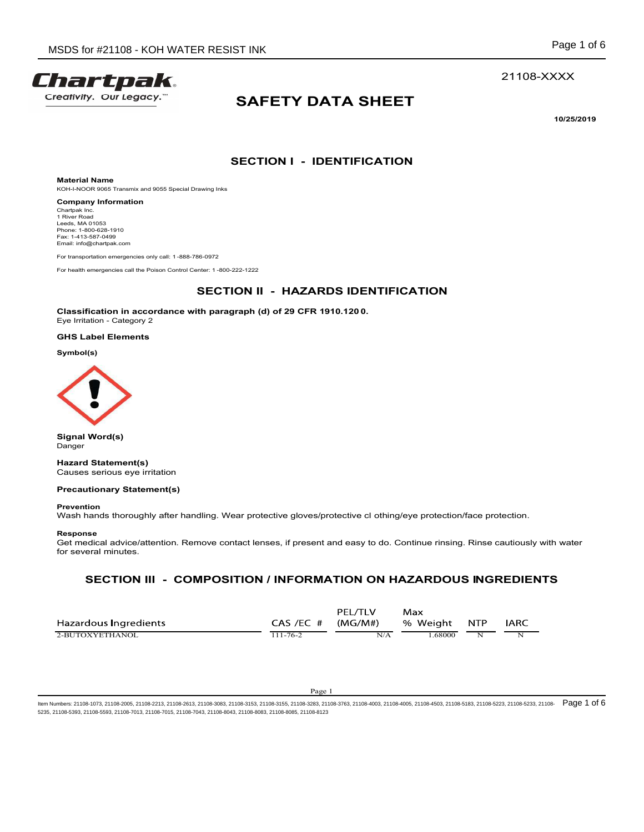



# SAFETY DATA SHEET STINK<br>
Page 1 of 6<br>
21108-XXXX<br>
SAFETY DATA SHEET<br>
10/25/2019<br>
SECTION I - IDENTIFICATION RESIST INK<br>
Page 1 of 6<br>
21108-XXX<br>
SAFETY DATA SHEET<br>
10/25/2019<br>
SECTION I - IDENTIFICATION<br>
20072<br>
SECTION II - HAZARDS IDENTIFICATION<br>
th paragraph (d) of 29 CFR 1910.1200.

10/25/2019

Material Name KOH-I-NOOR 9065 Transmix and 9055 Special Drawing Inks

Company Information Chartpak Inc.<br>1 River Road Leeds, MA 01053<br>Phone: 1-800-628-1910 Fax: 1-413-587-0499 Email: info@chartpak.com

SDS for #21108 - KOH WATER RESIST INK<br> **FOR THE POST ACT**<br>
CHEMITY, Our Legracy.<sup>"</sup><br>
SAFETY DATA SHEET<br>
Material Name<br>
Koth-MOS 6085-Transpire and SSS Space Drawing link<br>
Company information<br>
Company information<br>
For trans For health emergencies call the Poison Control Center: 1 -800-222-1222<br>
For the Poison Control Center: 1 -800-22<br>
Material Name<br>
Material Name<br>
Section Company information<br>
Company information<br>
Company information<br>
Control SDS for #21108 - KOH WATER RESIST INK<br>
Face of The Classification in accordance<br>
Material Name<br>
Material Name<br>
Material Name<br>
Material Name<br>
SACTION I - IDENTIFICATION<br>
Classification in accordance<br>
ECTION II - HAZARDS IDE SDS for #21108 - KOH WATER RESIST INK<br>
Year of Material Name<br>
Material Name<br>
Material Name<br>
Material Name<br>
Company Information<br>
Company Information<br>
Company Information<br>
Category 2<br>
For Name (1890)<br>
Fig. 1.113.69.281910<br>
F



# Precautionary Statement(s)

## Response

From the second the protection in a control of the second the second that the second the second three matrix of the second three matrix and the second of the second three protection.<br>Classification in a coordinate with par Get medical advice/attention. Remove contact lenses, if present and easy to do. Continue rinsing. Rinse cautiously with water for several minutes.

| Classification in accordance with paragraph (d) of 29 CFR 1910.1200.<br>Eye Irritation - Category 2                                    |                                                                                                                                                                                                                                |
|----------------------------------------------------------------------------------------------------------------------------------------|--------------------------------------------------------------------------------------------------------------------------------------------------------------------------------------------------------------------------------|
| <b>GHS Label Elements</b>                                                                                                              |                                                                                                                                                                                                                                |
| Symbol(s)                                                                                                                              |                                                                                                                                                                                                                                |
|                                                                                                                                        |                                                                                                                                                                                                                                |
| <b>Signal Word(s)</b><br>Danger                                                                                                        |                                                                                                                                                                                                                                |
| <b>Hazard Statement(s)</b><br>Causes serious eye irritation                                                                            |                                                                                                                                                                                                                                |
| <b>Precautionary Statement(s)</b>                                                                                                      |                                                                                                                                                                                                                                |
| <b>Prevention</b><br>Wash hands thoroughly after handling. Wear protective gloves/protective cl othing/eye protection/face protection. |                                                                                                                                                                                                                                |
| Response<br>for several minutes.                                                                                                       | Get medical advice/attention. Remove contact lenses, if present and easy to do. Continue rinsing. Rinse cautiously with water                                                                                                  |
|                                                                                                                                        | SECTION III - COMPOSITION / INFORMATION ON HAZARDOUS INGREDIENTS                                                                                                                                                               |
| Hazardous Ingredients<br>2-BUTOXYETHANOL<br>$111 - 76 - 2$                                                                             | PEL/TLV<br>Max<br>CAS /EC #<br>(MG/M#)<br>% Weight<br><b>NTP</b><br><b>IARC</b><br>N/A<br>1.68000<br>$\overline{\mathbf{N}}$<br>N                                                                                              |
|                                                                                                                                        |                                                                                                                                                                                                                                |
|                                                                                                                                        | Page 1                                                                                                                                                                                                                         |
| 21108-5393, 21108-5593, 21108-7013, 21108-7015, 21108-7043, 21108-8043, 21108-8083, 21108-8085, 21108-8123                             | lumbers: 21108-1073, 21108-2005, 21108-2213, 21108-2613, 21108-3083, 21108-3153, 21108-3155, 21108-3283, 21108-3763, 21108-4005, 21108-4005, 21108-4503, 21108-5183, 21108-523, 21108-523, 21108-523, 21108-528, 21108-5223, 2 |
|                                                                                                                                        |                                                                                                                                                                                                                                |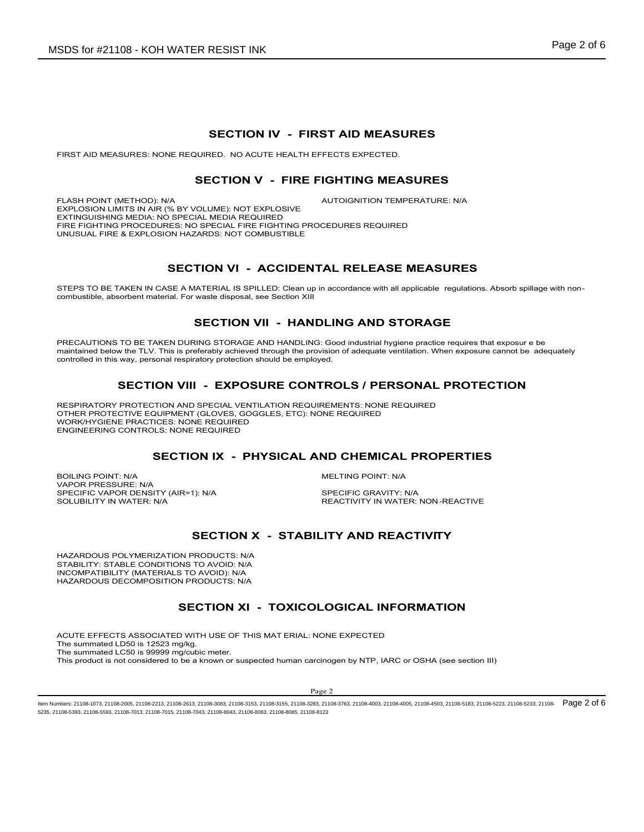FIRST AID MEASURES: NONE REQUIRED. NO ACUTE HEALTH EFFECTS EXPECTED.

# RESIST INK<br>
SECTION IV - FIRST AID MEASURES<br>
RED. NO ACUTE HEALTH EFFECTS EXPECTED.<br>
CTION V - FIRE FIGHTING MEASURES<br>
AUTOIGNITION TEMPERATURE: NA

ER RESIST INK<br>
SECTION IV - FIRST AID MEASURES<br>
NUIRED. NO ACUTE HEALTH EFFECTS EXPECTED.<br>
SECTION V - FIRE FIGHTING MEASURES<br>
OLUME): NOT EXPLOSIVE<br>
AUTOIGNITION TEMPERATURE: NIA<br>
SPECIAL FIRE FIGHTING PROCEDURES REQUIR SDS for #21108 - KOH WATER RESIST INK<br>
SECTION IV - FIRST AID MEASURES<br>
FIRST AID MEASURES: NONE REQUIRED. NO ACUTE HEALTH EFFECTS EXPECTED.<br>
SECTION V - FIRE FIGHTING MEASURES<br>
FLASH POINT (METHOD): N/A<br>
EXTRIGUISHING MEO EXPLOSION LIMITS IN AIR (% BY VOLUME): NOT EXPLOSIVE EXTINGUISHING MEDIA: NO SPECIAL MEDIA REQUIRED FIRE FIGHTING PROCEDURES: NO SPECIAL FIRE FIGHTING PROCEDURES REQUIRED UNUSUAL FIRE & EXPLOSION HAZARDS: NOT COMBUSTIBLE MATER RESIST INK<br>
SECTION IV - FIRST AID MEASURES<br>
SECTION V - FIRE FIGHTING MEASURES<br>
SEV VOLUME): NOT EXPLOSIVE<br>
SEV VOLUME): NOT EXPLOSIVE<br>
SEV VOLUME): NOT EXPLOSIVE<br>
AUTOIGNITION TEMPERATURE: NIA<br>
SECTION VI - ACCIDEN STEPS TO BE TAKEN IN A MATERIAL IS SECTION IV - FIRST AID MEASURES<br>
SECTION IV - FIRST AID MEASURES<br>
SECTION V - FIRE FIGHTING MEASURES<br>
ENGELISMENT METHOD: NO.<br>
SECTION V - FIRE FIGHTING MEASURES<br>
SECTION VI - ACCIDENTAL SECTION IV - FIRST AID MEASURES<br>
SECTION V - FIRST AID MEASURES<br>
SECTION V - FIRE FIGHTING MEASURES<br>
SECTION V - FIRE FIGHTING MEASURES<br>
NA MEDIA REQUIRED AND CONTIDUATION TEMPERATURE: NA<br>
NA MEDIA FREQUIRED<br>
NA MEDIA REQU **SECTION IV - FIRST AID MEASURES<br>
SECTION V - FIRE FIGHTING MEASURES<br>
FLASH PONT (METHOD: NAT AN R ON VOLUME): NOT EXPLOSIVE<br>
FLASH PONT UNITED AND NOT EXPLOSIVE AND CONDITION TEMPERATURE: NAT<br>
EXPLOSION LIMITS IN AR ON BY** SECTION IV - FIRST AID MEASURES<br>
FIASH FONT (METHOD), NA<br>
SECTION V - FIRE FIGHTING MEASURES<br>
FIASH FONT (METHOD), NA<br>
DETRICULISHEN ACHIEVED TRANSPORT CONTINUES PROCEDURES<br>
DETRICULISHEN ACHIEVED ACHIEVED CONTINUES PROCED SECTION IV - FIRST AID MEASURES<br>
SURES: NONE REQUIRED. NO ACUTE HEALTH EFFECTS EXPECTED.<br>
SECTION V - FIRE FIGHTING MEASURES<br>
METHOD: NA<br>
MITSINAR (% BY VOLUME). NOT EXPLOSIVE<br>
PROCEDURES NO SPECIAL NEDIA REQUIRED<br>
CONDUCE SECTION IN - FIRET TO BURGE AND THE PROTECTION CONTROLLS IN A SECTION IN A SECTION IN A SECTION IN A SECTION IN A SECTION IN A SECTION IN A SECTION IN A SECTION IN A SECTION IN A SECTION IN A SECTION IN A SECTION IN A SECT EXTRONOUTHE NATION TO BE THE SUPERVISTING PROTECTION CONTROLLS IN EXTREME IN A MELTING PROPERTIES<br>
BOILING POINT: NATION INCOMED AND THE HIGH HAND HARD CENTER (INCORPRET)<br>
SECTION VI - ACCIDENTAL RELEASE MEASURES<br>
SHEEP IS

STEPS TO BE TAKEN IN CASE A MATERIAL IS SPILLED: Clean up in accordance with all applicable regulations. Absorb spillage with non-<br>combustible, absorbent material. For waste disposal, see Section XIII

maintained below the TLV. This is preferably achieved through the provision of adequate ventilation. When exposure cannot be adequately controlled in this way, personal respiratory protection should be employed. FREE FIGHTING PROCEDURE TROTHON THE PROFILE PROPERTIES<br>
SPECIFIC VAPOR DENSITY (AIRENT CONTROL DESCRIPTION OF A COLUMBRITY:<br>
SPECIFICAL SPECIFICAL CONTROL CHEMIC CRAIN INTERNATION IS CONTROL SUPPRESS<br>
SPECIFICAL CASE A MAT ENGINE OF THE SOLUBION NORTHERN THE SOLUTION OF THE SOLUTION OF THE SOLUTION OF THE SOLUTION OF THE SOLUTION OF THE SOLUTION OF THE SOLUTION OF THE SOLUTION OF THE SOLUTION OF THE SOLUTION OF THE SOLUTION OF THE SOLUTION O THON VI - ACCIDENTAL RELEASE MEASURES<br>
MATERIAL IS SPILLED: Clean up in accordance with all applicable regulations. Absorb spillage with non-<br>
SECTION VII - HANDLING AND STORAGE<br>
NIS STORAGE AND HANDLING: Good industrial h

RESPIRATORY PROTECTION AND SPECIAL VENTILATION REQUIREMENTS: NONE REQUIRED OTHER PROTECTIVE EQUIPMENT (GLOVES, GOGGLES, ETC): NONE REQUIRED WORK/HYGIENE PRACTICES: NONE REQUIRED ENGINEERING CONTROLS: NONE REQUIRED

VAPOR PRESSURE: N/A<br>SPECIFIC VAPOR DENSITY (AIR=1): N/A SPECIFIC GRAVITY: N/A

HAZARDOUS POLYMERIZATION PRODUCTS: N/A STABILITY: STABLE CONDITIONS TO AVOID: N/A INCOMPATIBILITY (MATERIALS TO AVOID): N/A HAZARDOUS DECOMPOSITION PRODUCTS: N/A

AND CHEMICAL PROPERTIES<br>
MELTING POINT: N/A<br>
SPECIFIC GRAVITY: NA<br>
REACTIVITY IN WATER: NON-REACTIVE<br>
ILITY AND REACTIVITY<br>
DLOGICAL INFORMATION<br>
NONE EXPECTED<br>
TRIGGERS ATTAINED AND THE CONSTANTION<br>
PRICE 2<br>
TRIGGERS 2110 DURING STORAGE AND HANGUING: Good industrial hygiene practics requires that exposure as<br>a simplembry procedure when the provided of adequate vertilation. When exposure cannot be adequately<br>spiratory protection. WENTIMITED EMPRESSION THE WAY ARE CONTROLS AND THE CONTROLS (THE RESONAL PROTECTION<br>
SECTION VII - EXPOSURE CONTROLS AND SECULATED NOW ENDEPTING<br>
CONDITIONS AND SECULATED WITHOUT CONTROLS AND THE REQUIRED<br>
SECTION IX - PHYSICAL AND C The summated LD50 is 12523 mg/kg. The summated LC50 is 99999 mg/cubic meter. This product is not considered to be a known or suspected human carcinogen by NTP, IARC or OSHA (see section III)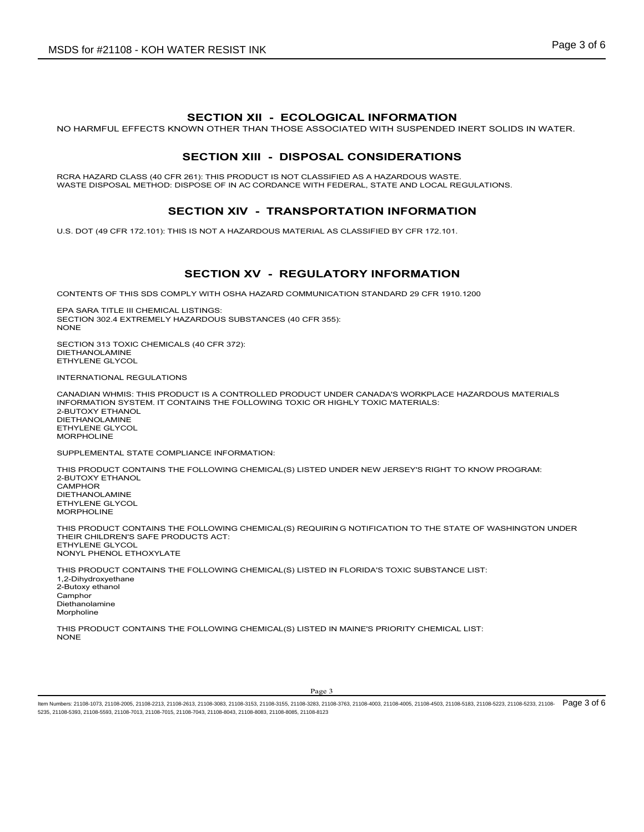FER RESIST INK<br>SECTION XII - ECOLOGICAL INFORMATION<br>WN OTHER THAN THOSE ASSOCIATED WITH SUSPENDED INERT SOLIDS IN WATER.<br>SECTION XIII - DISPOSAL CONSIDERATIONS<br>SEOLI AT ON AC CORDANCE WITH EFDERAL STATE AND LOCAL REGUL SDS for #21108 - KOH WATER RESIST INK<br>SECTION XII - ECOLOGICAL INFORMATION<br>NO HARMFUL EFFECTS KNOWN OTHER THAN THOSE ASSOCIATED WITH SUSPENDED INERT SOLIDS IN WATER.<br>SECTION XIII - DISPOSAL CONSIDERATIONS<br>WASTE DISPOSAL ME TER RESIST INK<br>
SECTION XII - ECOLOGICAL INFORMATION<br>
DOWN OTHER THAN THOSE ASSOCIATED WITH SUSPENDED INERT SOLIDS IN WATER.<br>
SECTION XIII - DISPOSAL CONSIDERATIONS<br>
261): THIS PRODUCT IS NOT CLASISIFIED AS A HAZARDOUS WAS RCRA HAZARD CLASS (40 CFR 261): THIS PRODUCT IS NOT CLASSIFIED AS A HAZARDOUS WASTE.<br>WASTE DISPOSAL METHOD: DISPOSE OF IN AC CORDANCE WITH FEDERAL, STATE AND LOCAL REGULATIONS. SDS for #21108 - KOH WATER RESIST INK<br>
SECTION XII - ECOLOGICAL INFORMATION<br>
NO HARMFUL EFFECTS KNOWN OTHER THAN THOSE ASSOCIATED WITH SUSPENDED INERT SOLIDS IN WATER.<br>
SECTION XIII - DISPOSAL CONSIDERATIONS<br>
MASTE DISPOSA WATER RESIST INK<br>
SECTION XII - ECOLOGICAL INFORMATION<br>
SECTION XIII - DISPOSAL CONSIDERATIONS<br>
SECTION XIII - DISPOSAL CONSIDERATIONS<br>
SER 281): THIS PRODUCT IS NOT CLASSIFIED AS A HAZARDOUS WASTE.<br>
DISPOSE OF IN AC CORDA FER RESIST INK<br>
SECTION XII - ECOLOGICAL INFORMATION<br>
SECTION XIII - DISPOSAL CONSIDERATIONS<br>
SECTION XIII - DISPOSAL CONSIDERATIONS<br>
SECTION XIV - TRANSPORTATION INFORMATION<br>
SPOSE OF IN AC CONSIDERS IFIED AS A HAZARDOUS

U.S. DOT (49 CFR 172.101): THIS IS NOT A HAZARDOUS MATERIAL AS CLASSIFIED BY CFR 172.101.

CONTENTS OF THIS SDS COMPLY WITH OSHA HAZARD COMMUNICATION STANDARD 29 CFR 1910.1200

EPA SARA TITLE III CHEMICAL LISTINGS: SECTION 302.4 EXTREMELY HAZARDOUS SUBSTANCES (40 CFR 355):<br>NONF NONE **NOTE** 

SECTION 313 TOXIC CHEMICALS (40 CFR 372): DIETHANOLAMINE ETHYLENE GLYCOL

INTERNATIONAL REGULATIONS

CANADIAN WHMIS: THIS PRODUCT IS A CONTROLLED PRODUCT UNDER CANADA'S WORKPLACE HAZARDOUS MATERIALS INFORMATION SYSTEM. IT CONTAINS THE FOLLOWING TOXIC OR HIGHLY TOXIC MATERIALS: 2-BUTOXY ETHANOL DIETHANOLAMINE ETHYLENE GLYCOL MORPHOLINE

SUPPLEMENTAL STATE COMPLIANCE INFORMATION:

TED UNDER NEW JERSEY'S RIGHT TO KNOW PROGRAM:<br>20<br>20 AND BOTTFICATION TO THE STATE OF WASHINGTON UNDER<br>TED IN FLORIDA'S TOXIC SUBSTANCE LIST:<br>20<br>20 AND BOTTFICATION TO THE STATE OF WASHINGTON UNDER<br>20<br>20 AND AND BOTTFICATIO THIS PRODUCT CONTAINS THE FOLLOWING CHEMICAL(S) LISTED UNDER NEW JERSEY'S RIGHT TO KNOW PROGRAM: 2-BUTOXY ETHANOL **CAMPHOR** DIETHANOLAMINE ETHYLENE GLYCOL MORPHOLINE **SECTION XV - REGULATORY INFORMATION**<br>
EDA ARAN TITE III CHEMICAL LISTINGS.<br>
BECTION 313 TOXIC CHEMICAL USING SUBSTANCES (40 CFR 355):<br>
NOFING CHEMICAL TRICULATIONS<br>
SECTION 313 TOXIC CHEMICALS (40 CFR 372):<br>
SECTION 313 T

THEIR CHILDREN'S SAFE PRODUCTS ACT: ETHYLENE GLYCOL NONYL PHENOL ETHOXYLATE

THIS PRODUCT CONTAINS THE FOLLOWING CHEMICAL(S) LISTED IN FLORIDA'S TOXIC SUBSTANCE LIST: 1,2-Dihydroxyethane 2-Butoxy ethanol **Camphor** Diethanolamine Morpholine

THIS PRODUCT CONTAINS THE FOLLOWING CHEMICAL(S) LISTED IN MAINE'S PRIORITY CHEMICAL LIST: NONE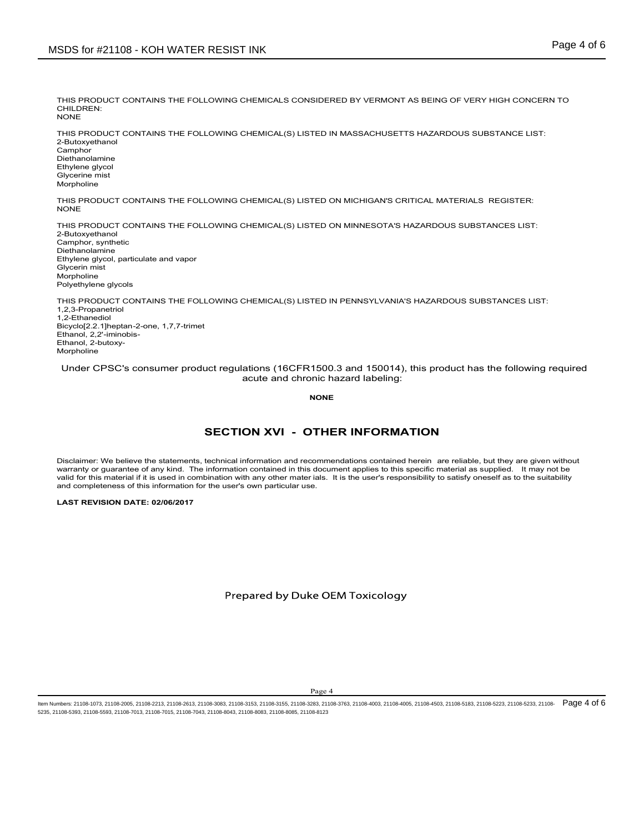THIS PRODUCT CONTAINS THE FOLLOWING CHEMICALS CONSIDERED BY VERMONT AS BEING OF VERY HIGH CONCERN TO CHILDREN:<br>NONE NONE **NOTE** 

THIS PRODUCT CONTAINS THE FOLLOWING CHEMICAL(S) LISTED IN MASSACHUSETTS HAZARDOUS SUBSTANCE LIST: 2-Butoxyethanol **Camphor** Diethanolamine Ethylene glycol Glycerine mist Morpholine SDS for #21108 - KOH WATER RESIST INK<br>THIS PRODUCT CONTAINS THE FOLLOWING CHEMICALS CONSIDERED BY VERMONT AS BEING OF VERY HIGH CONCERN TO<br>CHILDREN:<br>THIS PRODUCT CONTAINS THE FOLLOWING CHEMICAL(S) LISTED IN MASSACHUSETTS H

THIS PRODUCT CONTAINS THE FOLLOWING CHEMICAL(S) LISTED ON MICHIGAN'S CRITICAL MATERIALS REGISTER:<br>NONE

THIS PRODUCT CONTAINS THE FOLLOWING CHEMICAL(S) LISTED ON MINNESOTA'S HAZARDOUS SUBSTANCES LIST: 2-Butoxyethanol Camphor, synthetic Diethanolamine Ethylene glycol, particulate and vapor Glycerin mist Morpholine Polyethylene glycols LOWING CHEMICAL(S) LISTED ON MICHIGAN'S CRITICAL MATERIALS REGISTER:<br>LOWING CHEMICAL(S) LISTED ON MINNESOTA'S HAZARDOUS SUBSTANCES LIST:<br>LOWING CHEMICAL(S) LISTED IN PENNSYLVANIA'S HAZARDOUS SUBSTANCES LIST:<br><br>SECTION XVI -WOUNDINGTON WAS THE FOLLOWING CHEMICAL(S) LISTED ON MICHIGAN'S CRITICAL MATERIALS REGISTER:<br>THIS PRODUCT CONTAINS THE FOLLOWING CHEMICAL (S) LISTED ON MINIM-SOTIA'S HAZARDOUS SUBSTANCES LIST:<br>Distinguisments,<br>Distinguismen THIS PRODUCT CONTAINS THE FOLLOWING CHEMICAL(S) LISTED ON MICHIGAN'S CRITICAL MATERIALS REGISTER.<br>THOMAS FRODUCT CONTAINS THE FOLLOWING CHEMICAL(S) LISTED ON MINNESOTA'S HAZARDOUS SUBSTANCES LIST:<br>Chingens glycol, parisola valid for the material is material in the this material is used in the user's contribution with the material is used in the material in the material in the user's response of the material in the user's response of the mate

THIS PRODUCT CONTAINS THE FOLLOWING CHEMICAL(S) LISTED IN PENNSYLVANIA'S HAZARDOUS SUBSTANCES LIST: 1,2,3-Propanetriol 1,2-Ethanediol Bicyclo[2.2.1]heptan-2-one, 1,7,7-trimet Ethanol, 2,2'-iminobis-Ethanol, 2-butoxy-Morpholine

Under CPSC's consumer product regulations (16CFR1500.3 and 150014), this product has the following required acute and chronic hazard labeling:

NONE **NOTE** 

**THER INFORMATION**<br>commentations contained herein are reliable, but they are given without<br>document applies to this specific material as supplied through the<br>deliable. It is the user's responsibility to satisfy oneself as valid for this material if it is used in combination with any other mater ials. It is the user's responsibility to satisfy oneself as to the suitability<br>and completeness of this information for the user's own particular us

LAST REVISION DATE: 02/06/2017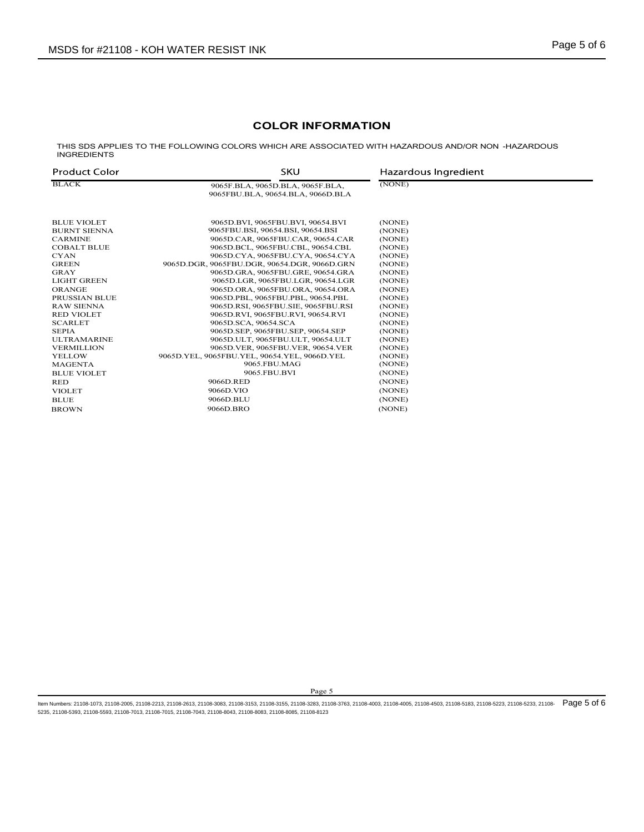# COLOR INFORMATION

|                                           | <b>MSDS for #21108 - KOH WATER RESIST INK</b>                                                      | Page 5 of 6          |  |
|-------------------------------------------|----------------------------------------------------------------------------------------------------|----------------------|--|
|                                           |                                                                                                    |                      |  |
|                                           |                                                                                                    |                      |  |
|                                           |                                                                                                    |                      |  |
|                                           | <b>COLOR INFORMATION</b>                                                                           |                      |  |
| <b>INGREDIENTS</b>                        | THIS SDS APPLIES TO THE FOLLOWING COLORS WHICH ARE ASSOCIATED WITH HAZARDOUS AND/OR NON -HAZARDOUS |                      |  |
| <b>Product Color</b>                      | <b>SKU</b>                                                                                         | Hazardous Ingredient |  |
|                                           |                                                                                                    |                      |  |
| <b>BLACK</b>                              | 9065F.BLA, 9065D.BLA, 9065F.BLA,<br>9065FBU.BLA, 90654.BLA, 9066D.BLA                              | (NONE)               |  |
|                                           |                                                                                                    |                      |  |
| <b>BLUE VIOLET</b><br><b>BURNT SIENNA</b> | 9065D.BVI, 9065FBU.BVI, 90654.BVI<br>9065FBU.BSI, 90654.BSI, 90654.BSI                             | (NONE)<br>(NONE)     |  |
| <b>CARMINE</b>                            | 9065D.CAR, 9065FBU.CAR, 90654.CAR                                                                  | (NONE)               |  |
| <b>COBALT BLUE</b><br>CYAN                | 9065D.BCL, 9065FBU.CBL, 90654.CBL<br>9065D.CYA, 9065FBU.CYA, 90654.CYA                             | (NONE)<br>(NONE)     |  |
| <b>GREEN</b>                              | 9065D.DGR, 9065FBU.DGR, 90654.DGR, 9066D.GRN                                                       | (NONE)               |  |
| GRAY                                      | 9065D.GRA, 9065FBU.GRE, 90654.GRA                                                                  | (NONE)               |  |
| LIGHT GREEN<br><b>ORANGE</b>              | 9065D.LGR, 9065FBU.LGR, 90654.LGR                                                                  | (NONE)               |  |
| PRUSSIAN BLUE                             | 9065D.ORA, 9065FBU.ORA, 90654.ORA<br>9065D.PBL, 9065FBU.PBL, 90654.PBL                             | (NONE)<br>(NONE)     |  |
| <b>RAW SIENNA</b>                         | 9065D.RSI, 9065FBU.SIE, 9065FBU.RSI                                                                | (NONE)               |  |
| <b>RED VIOLET</b>                         | 9065D.RVI, 9065FBU.RVI, 90654.RVI                                                                  | (NONE)               |  |
| <b>SCARLET</b><br>SEPIA                   | 9065D.SCA, 90654.SCA<br>9065D.SEP, 9065FBU.SEP, 90654.SEP                                          | (NONE)<br>(NONE)     |  |
| <b>ULTRAMARINE</b>                        | 9065D.ULT, 9065FBU.ULT, 90654.ULT                                                                  | (NONE)               |  |
| <b>VERMILLION</b>                         | 9065D.VER, 9065FBU.VER, 90654.VER                                                                  | (NONE)               |  |
| YELLOW<br><b>MAGENTA</b>                  | 9065D.YEL, 9065FBU.YEL, 90654.YEL, 9066D.YEL<br>9065.FBU.MAG                                       | (NONE)<br>(NONE)     |  |
| <b>BLUE VIOLET</b>                        | 9065.FBU.BVI                                                                                       | (NONE)               |  |
| RED                                       | 9066D.RED                                                                                          | (NONE)               |  |
| <b>VIOLET</b><br><b>BLUE</b>              | 9066D.VIO<br>9066D.BLU                                                                             | (NONE)<br>(NONE)     |  |

Page 5<br>283, 21108-2763, 21108-4033, 21108-4035, 21108-4033, 21108-5183, 21108-5223, 21108-5233, 21108-<br>28, 29, 21108-2763, 21108-4033, 21108-4035, 21108-4033, 21108-5133, 21108-5223, 21108-5233, 21108ltem Numbers: 21108-1073, 21108-2005, 21108-2213, 21108-2613, 21108-3083, 21108-3153, 21108-3155, 21108-3283, 21108-3763, 21108-4003, 21108-4005, 21108-4503, 21108-5183, 21108-5223, 21108-5233, 21108-523, 21108-523, 21108-5235, 21108-5393, 21108-5593, 21108-7013, 21108-7015, 21108-7043, 21108-8043, 21108-8083, 21108-8085, 21108-8123